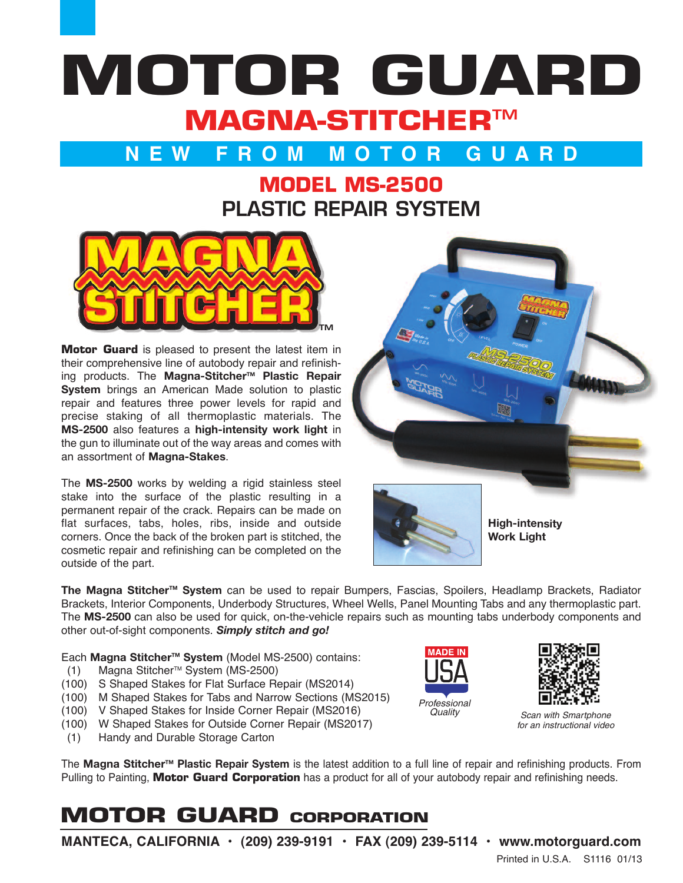# **MOTOR GUARD MAGNA-STITCHERTM**

### **N E W F R O M M O T O R G U A R D**

### **MODEL MS-2500 PLASTIC REPAIR SYSTEM**



**Motor Guard** is pleased to present the latest item in their comprehensive line of autobody repair and refinishing products. The **Magna-StitcherTM Plastic Repair System** brings an American Made solution to plastic repair and features three power levels for rapid and precise staking of all thermoplastic materials. The **MS-2500** also features a **high-intensity work light** in the gun to illuminate out of the way areas and comes with an assortment of **Magna-Stakes**.

The **MS-2500** works by welding a rigid stainless steel stake into the surface of the plastic resulting in a permanent repair of the crack. Repairs can be made on flat surfaces, tabs, holes, ribs, inside and outside corners. Once the back of the broken part is stitched, the cosmetic repair and refinishing can be completed on the outside of the part.





**High-intensity Work Light**

**The Magna StitcherTM System** can be used to repair Bumpers, Fascias, Spoilers, Headlamp Brackets, Radiator Brackets, Interior Components, Underbody Structures, Wheel Wells, Panel Mounting Tabs and any thermoplastic part. The **MS-2500** can also be used for quick, on-the-vehicle repairs such as mounting tabs underbody components and other out-of-sight components. *Simply stitch and go!*

Each **Magna StitcherTM System** (Model MS-2500) contains:

- (1) Magna Stitcher TM System (MS-2500)
- (100) S Shaped Stakes for Flat Surface Repair (MS2014)
- (100) M Shaped Stakes for Tabs and Narrow Sections (MS2015)
- (100) V Shaped Stakes for Inside Corner Repair (MS2016)
- (100) W Shaped Stakes for Outside Corner Repair (MS2017)
- (1) Handy and Durable Storage Carton

The **Magna StitcherTM Plastic Repair System** is the latest addition to a full line of repair and refinishing products. From Pulling to Painting, **Motor Guard Corporation** has a product for all of your autobody repair and refinishing needs.

## **MOTOR GUARD CORPORATION**

**MANTECA, CALIFORNIA • (209) 239-9191 • FAX (209) 239-5114 • www.motorguard.com**

Printed in U.S.A. S1116 01/13





*for an instructional video*